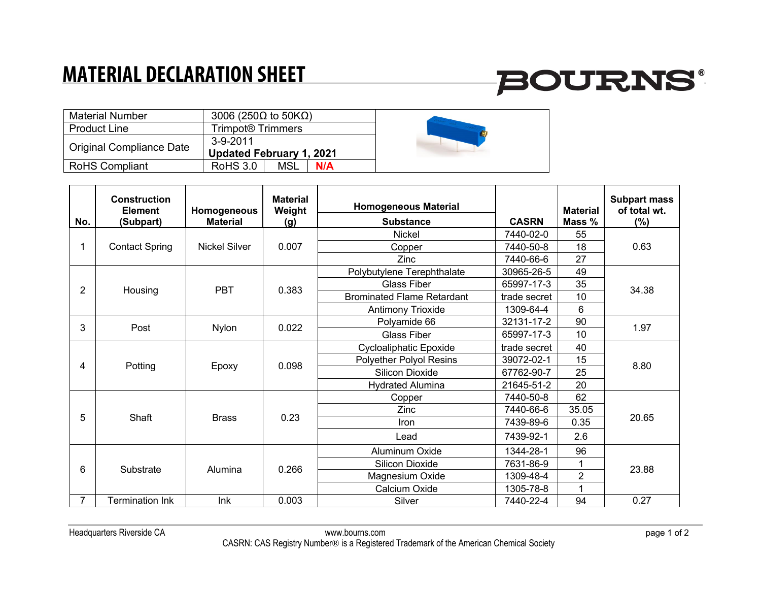### **MATERIAL DECLARATION SHEET**

# **BOURNS®**

| <b>Material Number</b>   | 3006 (250 $\Omega$ to 50K $\Omega$ ) |  |
|--------------------------|--------------------------------------|--|
| <b>Product Line</b>      | Trimpot® Trimmers                    |  |
| Original Compliance Date | $3-9-2011$                           |  |
|                          | <b>Updated February 1, 2021</b>      |  |
| <b>RoHS Compliant</b>    | <b>RoHS 3.0</b><br>MSL<br>N/A        |  |

| No. | <b>Construction</b><br><b>Element</b><br>(Subpart) | Homogeneous<br><b>Material</b> | <b>Material</b><br>Weight<br>(g) | <b>Homogeneous Material</b><br><b>Substance</b> | <b>CASRN</b> | <b>Material</b><br>Mass % | <b>Subpart mass</b><br>of total wt.<br>$(\%)$ |
|-----|----------------------------------------------------|--------------------------------|----------------------------------|-------------------------------------------------|--------------|---------------------------|-----------------------------------------------|
|     | <b>Contact Spring</b>                              | <b>Nickel Silver</b>           | 0.007                            | <b>Nickel</b>                                   | 7440-02-0    | 55                        | 0.63                                          |
|     |                                                    |                                |                                  | Copper                                          | 7440-50-8    | 18                        |                                               |
|     |                                                    |                                |                                  | Zinc                                            | 7440-66-6    | 27                        |                                               |
|     | Housing                                            | <b>PBT</b>                     | 0.383                            | Polybutylene Terephthalate                      | 30965-26-5   | 49                        | 34.38                                         |
| 2   |                                                    |                                |                                  | <b>Glass Fiber</b>                              | 65997-17-3   | 35                        |                                               |
|     |                                                    |                                |                                  | <b>Brominated Flame Retardant</b>               | trade secret | 10                        |                                               |
|     |                                                    |                                |                                  | Antimony Trioxide                               | 1309-64-4    | 6                         |                                               |
| 3   | Post                                               | <b>Nylon</b>                   | 0.022                            | Polyamide 66                                    | 32131-17-2   | 90                        | 1.97                                          |
|     |                                                    |                                |                                  | <b>Glass Fiber</b>                              | 65997-17-3   | 10                        |                                               |
|     | Potting                                            | Epoxy                          | 0.098                            | Cycloaliphatic Epoxide                          | trade secret | 40                        | 8.80                                          |
| 4   |                                                    |                                |                                  | Polyether Polyol Resins                         | 39072-02-1   | 15                        |                                               |
|     |                                                    |                                |                                  | Silicon Dioxide                                 | 67762-90-7   | 25                        |                                               |
|     |                                                    |                                |                                  | <b>Hydrated Alumina</b>                         | 21645-51-2   | 20                        |                                               |
|     | Shaft                                              | <b>Brass</b>                   | 0.23                             | Copper                                          | 7440-50-8    | 62                        | 20.65                                         |
|     |                                                    |                                |                                  | Zinc                                            | 7440-66-6    | 35.05                     |                                               |
| 5   |                                                    |                                |                                  | Iron                                            | 7439-89-6    | 0.35                      |                                               |
|     |                                                    |                                |                                  | Lead                                            | 7439-92-1    | 2.6                       |                                               |
| 6   | Substrate                                          | Alumina                        | 0.266                            | Aluminum Oxide                                  | 1344-28-1    | 96                        | 23.88                                         |
|     |                                                    |                                |                                  | Silicon Dioxide                                 | 7631-86-9    | 1                         |                                               |
|     |                                                    |                                |                                  | Magnesium Oxide                                 | 1309-48-4    | $\overline{2}$            |                                               |
|     |                                                    |                                |                                  | Calcium Oxide                                   | 1305-78-8    | 1                         |                                               |
|     | <b>Termination Ink</b>                             | Ink                            | 0.003                            | Silver                                          | 7440-22-4    | 94                        | 0.27                                          |